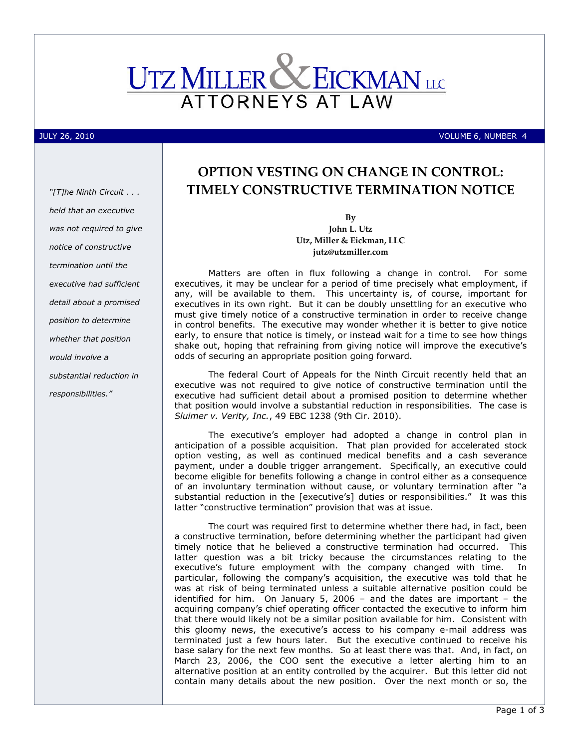

### JULY 26, 2010 VOLUME 6, NUMBER 4

"[T]he Ninth Circuit . . . held that an executive was not required to give notice of constructive termination until the executive had sufficient detail about a promised position to determine whether that position would involve a substantial reduction in responsibilities."

# OPTION VESTING ON CHANGE IN CONTROL: TIMELY CONSTRUCTIVE TERMINATION NOTICE

By John L. Utz Utz, Miller & Eickman, LLC jutz@utzmiller.com

Matters are often in flux following a change in control. For some executives, it may be unclear for a period of time precisely what employment, if any, will be available to them. This uncertainty is, of course, important for executives in its own right. But it can be doubly unsettling for an executive who must give timely notice of a constructive termination in order to receive change in control benefits. The executive may wonder whether it is better to give notice early, to ensure that notice is timely, or instead wait for a time to see how things shake out, hoping that refraining from giving notice will improve the executive's odds of securing an appropriate position going forward.

The federal Court of Appeals for the Ninth Circuit recently held that an executive was not required to give notice of constructive termination until the executive had sufficient detail about a promised position to determine whether that position would involve a substantial reduction in responsibilities. The case is Sluimer v. Verity, Inc., 49 EBC 1238 (9th Cir. 2010).

The executive's employer had adopted a change in control plan in anticipation of a possible acquisition. That plan provided for accelerated stock option vesting, as well as continued medical benefits and a cash severance payment, under a double trigger arrangement. Specifically, an executive could become eligible for benefits following a change in control either as a consequence of an involuntary termination without cause, or voluntary termination after "a substantial reduction in the [executive's] duties or responsibilities." It was this latter "constructive termination" provision that was at issue.

The court was required first to determine whether there had, in fact, been a constructive termination, before determining whether the participant had given timely notice that he believed a constructive termination had occurred. This latter question was a bit tricky because the circumstances relating to the executive's future employment with the company changed with time. In particular, following the company's acquisition, the executive was told that he was at risk of being terminated unless a suitable alternative position could be identified for him. On January 5, 2006 – and the dates are important – the acquiring company's chief operating officer contacted the executive to inform him that there would likely not be a similar position available for him. Consistent with this gloomy news, the executive's access to his company e-mail address was terminated just a few hours later. But the executive continued to receive his base salary for the next few months. So at least there was that. And, in fact, on March 23, 2006, the COO sent the executive a letter alerting him to an alternative position at an entity controlled by the acquirer. But this letter did not contain many details about the new position. Over the next month or so, the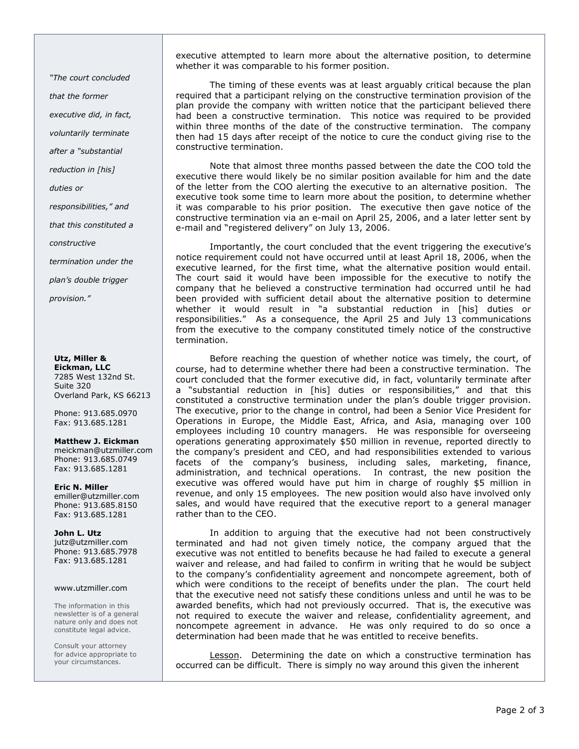"The court concluded

that the former

executive did, in fact,

voluntarily terminate

after a "substantial

reduction in [his]

duties or

responsibilities," and

that this constituted a

constructive

termination under the

plan's double trigger

provision."

#### Utz, Miller & Eickman, LLC

7285 West 132nd St. Suite 320 Overland Park, KS 66213

Phone: 913.685.0970 Fax: 913.685.1281

Matthew J. Eickman meickman@utzmiller.com Phone: 913.685.0749 Fax: 913.685.1281

Eric N. Miller emiller@utzmiller.com Phone: 913.685.8150 Fax: 913.685.1281

#### John L. Utz jutz@utzmiller.com Phone: 913.685.7978 Fax: 913.685.1281

## www.utzmiller.com

The information in this newsletter is of a general nature only and does not constitute legal advice.

Consult your attorney for advice appropriate to your circumstances.

executive attempted to learn more about the alternative position, to determine whether it was comparable to his former position.

The timing of these events was at least arguably critical because the plan required that a participant relying on the constructive termination provision of the plan provide the company with written notice that the participant believed there had been a constructive termination. This notice was required to be provided within three months of the date of the constructive termination. The company then had 15 days after receipt of the notice to cure the conduct giving rise to the constructive termination.

Note that almost three months passed between the date the COO told the executive there would likely be no similar position available for him and the date of the letter from the COO alerting the executive to an alternative position. The executive took some time to learn more about the position, to determine whether it was comparable to his prior position. The executive then gave notice of the constructive termination via an e-mail on April 25, 2006, and a later letter sent by e-mail and "registered delivery" on July 13, 2006.

Importantly, the court concluded that the event triggering the executive's notice requirement could not have occurred until at least April 18, 2006, when the executive learned, for the first time, what the alternative position would entail. The court said it would have been impossible for the executive to notify the company that he believed a constructive termination had occurred until he had been provided with sufficient detail about the alternative position to determine whether it would result in "a substantial reduction in [his] duties or responsibilities." As a consequence, the April 25 and July 13 communications from the executive to the company constituted timely notice of the constructive termination.

Before reaching the question of whether notice was timely, the court, of course, had to determine whether there had been a constructive termination. The court concluded that the former executive did, in fact, voluntarily terminate after a "substantial reduction in [his] duties or responsibilities," and that this constituted a constructive termination under the plan's double trigger provision. The executive, prior to the change in control, had been a Senior Vice President for Operations in Europe, the Middle East, Africa, and Asia, managing over 100 employees including 10 country managers. He was responsible for overseeing operations generating approximately \$50 million in revenue, reported directly to the company's president and CEO, and had responsibilities extended to various facets of the company's business, including sales, marketing, finance, administration, and technical operations. In contrast, the new position the executive was offered would have put him in charge of roughly \$5 million in revenue, and only 15 employees. The new position would also have involved only sales, and would have required that the executive report to a general manager rather than to the CEO.

In addition to arguing that the executive had not been constructively terminated and had not given timely notice, the company argued that the executive was not entitled to benefits because he had failed to execute a general waiver and release, and had failed to confirm in writing that he would be subject to the company's confidentiality agreement and noncompete agreement, both of which were conditions to the receipt of benefits under the plan. The court held that the executive need not satisfy these conditions unless and until he was to be awarded benefits, which had not previously occurred. That is, the executive was not required to execute the waiver and release, confidentiality agreement, and noncompete agreement in advance. He was only required to do so once a determination had been made that he was entitled to receive benefits.

Lesson. Determining the date on which a constructive termination has occurred can be difficult. There is simply no way around this given the inherent